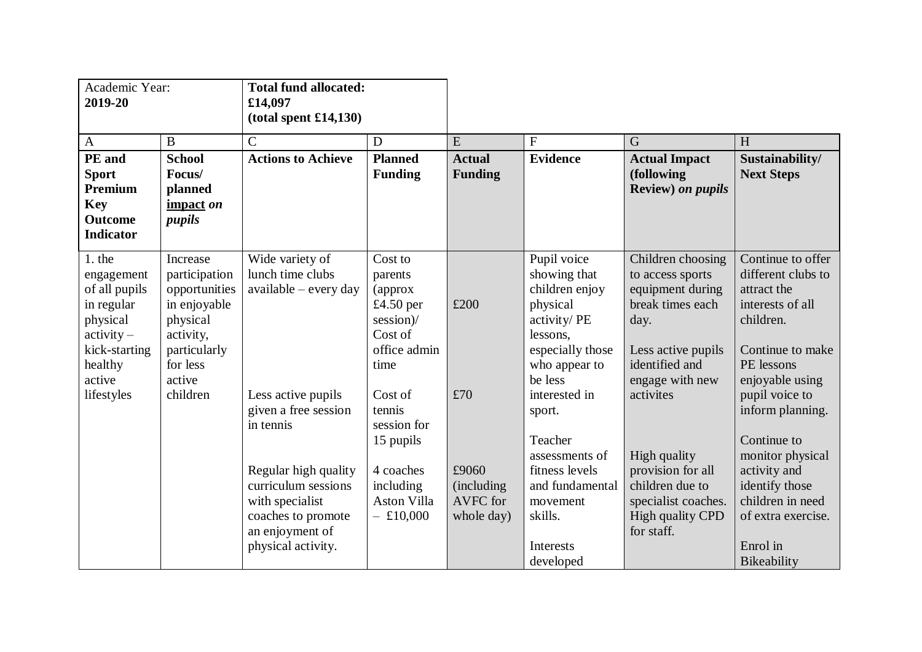| Academic Year:<br>2019-20                                                                                                           |                                                                                                                                       | <b>Total fund allocated:</b><br>£14,097<br>(total spent £14,130)                                                                           |                                                                                                                 |                                                |                                                                                                                                                       |                                                                                                                                                               |                                                                                                                                                                                    |
|-------------------------------------------------------------------------------------------------------------------------------------|---------------------------------------------------------------------------------------------------------------------------------------|--------------------------------------------------------------------------------------------------------------------------------------------|-----------------------------------------------------------------------------------------------------------------|------------------------------------------------|-------------------------------------------------------------------------------------------------------------------------------------------------------|---------------------------------------------------------------------------------------------------------------------------------------------------------------|------------------------------------------------------------------------------------------------------------------------------------------------------------------------------------|
| $\mathbf{A}$                                                                                                                        | $\bf{B}$                                                                                                                              | $\overline{C}$                                                                                                                             | D                                                                                                               | E                                              | ${\bf F}$                                                                                                                                             | G                                                                                                                                                             | H                                                                                                                                                                                  |
| PE and<br><b>Sport</b><br>Premium<br><b>Key</b><br><b>Outcome</b><br><b>Indicator</b>                                               | <b>School</b><br>Focus/<br>planned<br>impact on<br>pupils                                                                             | <b>Actions to Achieve</b>                                                                                                                  | <b>Planned</b><br><b>Funding</b>                                                                                | <b>Actual</b><br><b>Funding</b>                | <b>Evidence</b>                                                                                                                                       | <b>Actual Impact</b><br>(following<br>Review) on pupils                                                                                                       | Sustainability/<br><b>Next Steps</b>                                                                                                                                               |
| 1. the<br>engagement<br>of all pupils<br>in regular<br>physical<br>$activity -$<br>kick-starting<br>healthy<br>active<br>lifestyles | Increase<br>participation<br>opportunities<br>in enjoyable<br>physical<br>activity,<br>particularly<br>for less<br>active<br>children | Wide variety of<br>lunch time clubs<br>$available - every day$<br>Less active pupils<br>given a free session                               | Cost to<br>parents<br>(approx<br>£4.50 per<br>session)/<br>Cost of<br>office admin<br>time<br>Cost of<br>tennis | £200<br>£70                                    | Pupil voice<br>showing that<br>children enjoy<br>physical<br>activity/PE<br>lessons,<br>especially those<br>who appear to<br>be less<br>interested in | Children choosing<br>to access sports<br>equipment during<br>break times each<br>day.<br>Less active pupils<br>identified and<br>engage with new<br>activites | Continue to offer<br>different clubs to<br>attract the<br>interests of all<br>children.<br>Continue to make<br>PE lessons<br>enjoyable using<br>pupil voice to<br>inform planning. |
|                                                                                                                                     |                                                                                                                                       | in tennis<br>Regular high quality<br>curriculum sessions<br>with specialist<br>coaches to promote<br>an enjoyment of<br>physical activity. | session for<br>15 pupils<br>4 coaches<br>including<br><b>Aston Villa</b><br>$-$ £10,000                         | £9060<br>(including)<br>AVFC for<br>whole day) | sport.<br>Teacher<br>assessments of<br>fitness levels<br>and fundamental<br>movement<br>skills.<br>Interests<br>developed                             | High quality<br>provision for all<br>children due to<br>specialist coaches.<br><b>High quality CPD</b><br>for staff.                                          | Continue to<br>monitor physical<br>activity and<br>identify those<br>children in need<br>of extra exercise.<br>Enrol in<br>Bikeability                                             |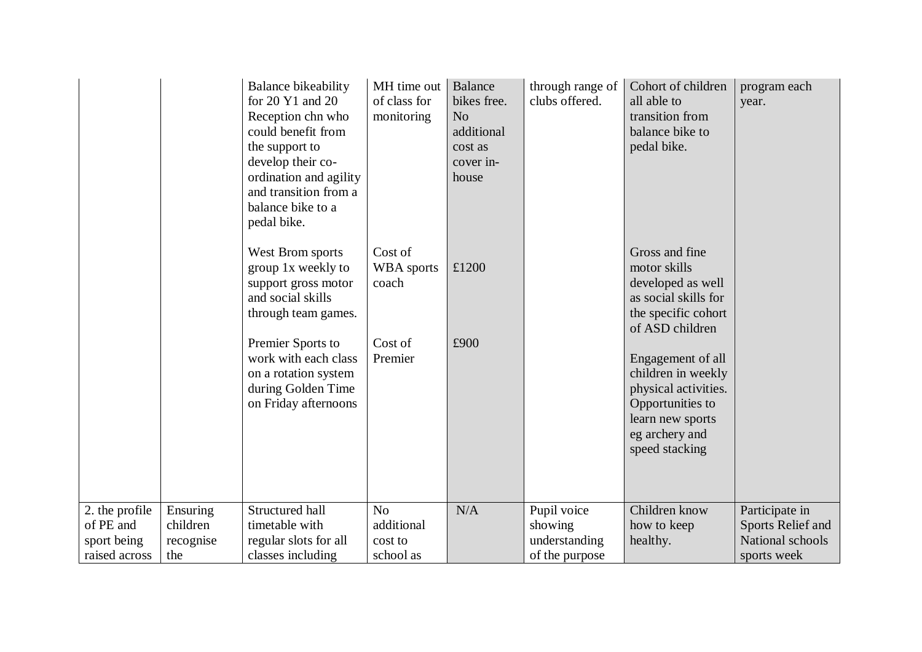|                                                             |                                          | Balance bikeability<br>for $20 \text{ Y}1$ and $20$<br>Reception chn who<br>could benefit from<br>the support to<br>develop their co-<br>ordination and agility<br>and transition from a<br>balance bike to a<br>pedal bike. | MH time out<br>of class for<br>monitoring            | Balance<br>bikes free.<br>N <sub>o</sub><br>additional<br>cost as<br>cover in-<br>house | through range of<br>clubs offered.                        | Cohort of children<br>all able to<br>transition from<br>balance bike to<br>pedal bike.                                                      | program each<br>year.                                                  |
|-------------------------------------------------------------|------------------------------------------|------------------------------------------------------------------------------------------------------------------------------------------------------------------------------------------------------------------------------|------------------------------------------------------|-----------------------------------------------------------------------------------------|-----------------------------------------------------------|---------------------------------------------------------------------------------------------------------------------------------------------|------------------------------------------------------------------------|
|                                                             |                                          | West Brom sports<br>group 1x weekly to<br>support gross motor<br>and social skills<br>through team games.                                                                                                                    | Cost of<br><b>WBA</b> sports<br>coach                | £1200                                                                                   |                                                           | Gross and fine<br>motor skills<br>developed as well<br>as social skills for<br>the specific cohort<br>of ASD children                       |                                                                        |
|                                                             |                                          | Premier Sports to<br>work with each class<br>on a rotation system<br>during Golden Time<br>on Friday afternoons                                                                                                              | Cost of<br>Premier                                   | £900                                                                                    |                                                           | Engagement of all<br>children in weekly<br>physical activities.<br>Opportunities to<br>learn new sports<br>eg archery and<br>speed stacking |                                                                        |
| 2. the profile<br>of PE and<br>sport being<br>raised across | Ensuring<br>children<br>recognise<br>the | Structured hall<br>timetable with<br>regular slots for all<br>classes including                                                                                                                                              | N <sub>o</sub><br>additional<br>cost to<br>school as | N/A                                                                                     | Pupil voice<br>showing<br>understanding<br>of the purpose | Children know<br>how to keep<br>healthy.                                                                                                    | Participate in<br>Sports Relief and<br>National schools<br>sports week |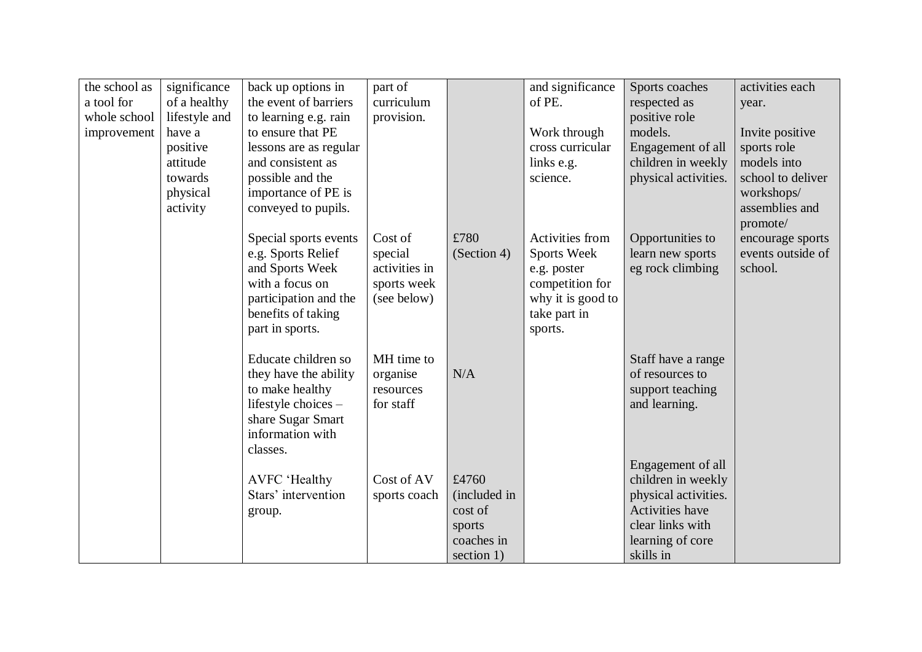| the school as | significance  | back up options in     | part of       |              | and significance  | Sports coaches       | activities each            |
|---------------|---------------|------------------------|---------------|--------------|-------------------|----------------------|----------------------------|
| a tool for    | of a healthy  | the event of barriers  | curriculum    |              | of PE.            | respected as         | year.                      |
| whole school  | lifestyle and | to learning e.g. rain  | provision.    |              |                   | positive role        |                            |
| improvement   | have a        | to ensure that PE      |               |              | Work through      | models.              | Invite positive            |
|               | positive      | lessons are as regular |               |              | cross curricular  | Engagement of all    | sports role                |
|               | attitude      | and consistent as      |               |              | links e.g.        | children in weekly   | models into                |
|               | towards       | possible and the       |               |              | science.          | physical activities. | school to deliver          |
|               | physical      | importance of PE is    |               |              |                   |                      | workshops/                 |
|               | activity      | conveyed to pupils.    |               |              |                   |                      | assemblies and<br>promote/ |
|               |               | Special sports events  | Cost of       | £780         | Activities from   | Opportunities to     | encourage sports           |
|               |               | e.g. Sports Relief     | special       | (Section 4)  | Sports Week       | learn new sports     | events outside of          |
|               |               | and Sports Week        | activities in |              | e.g. poster       | eg rock climbing     | school.                    |
|               |               | with a focus on        | sports week   |              | competition for   |                      |                            |
|               |               | participation and the  | (see below)   |              | why it is good to |                      |                            |
|               |               | benefits of taking     |               |              | take part in      |                      |                            |
|               |               | part in sports.        |               |              | sports.           |                      |                            |
|               |               | Educate children so    | MH time to    |              |                   | Staff have a range   |                            |
|               |               | they have the ability  | organise      | N/A          |                   | of resources to      |                            |
|               |               | to make healthy        | resources     |              |                   | support teaching     |                            |
|               |               | lifestyle choices -    | for staff     |              |                   | and learning.        |                            |
|               |               | share Sugar Smart      |               |              |                   |                      |                            |
|               |               | information with       |               |              |                   |                      |                            |
|               |               | classes.               |               |              |                   |                      |                            |
|               |               |                        |               |              |                   | Engagement of all    |                            |
|               |               | <b>AVFC</b> 'Healthy   | Cost of AV    | £4760        |                   | children in weekly   |                            |
|               |               | Stars' intervention    | sports coach  | (included in |                   | physical activities. |                            |
|               |               | group.                 |               | cost of      |                   | Activities have      |                            |
|               |               |                        |               | sports       |                   | clear links with     |                            |
|               |               |                        |               | coaches in   |                   | learning of core     |                            |
|               |               |                        |               | section 1)   |                   | skills in            |                            |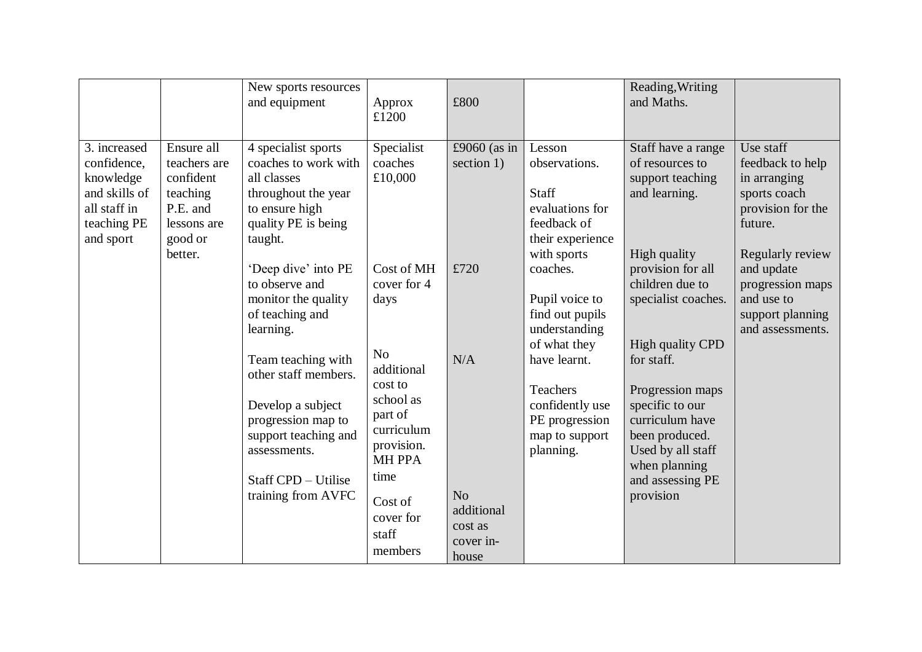|                                                                                                       |                                                                                                      | New sports resources<br>and equipment                                                                                                                                      | Approx<br>£1200                                                                                               | £800                                        |                                                                                                                   | Reading, Writing<br>and Maths.                                                                                                                                |                                                                                                                                 |
|-------------------------------------------------------------------------------------------------------|------------------------------------------------------------------------------------------------------|----------------------------------------------------------------------------------------------------------------------------------------------------------------------------|---------------------------------------------------------------------------------------------------------------|---------------------------------------------|-------------------------------------------------------------------------------------------------------------------|---------------------------------------------------------------------------------------------------------------------------------------------------------------|---------------------------------------------------------------------------------------------------------------------------------|
| 3. increased<br>confidence,<br>knowledge<br>and skills of<br>all staff in<br>teaching PE<br>and sport | Ensure all<br>teachers are<br>confident<br>teaching<br>P.E. and<br>lessons are<br>good or<br>better. | 4 specialist sports<br>coaches to work with<br>all classes<br>throughout the year<br>to ensure high<br>quality PE is being<br>taught.<br>'Deep dive' into PE               | Specialist<br>coaches<br>£10,000<br>Cost of MH                                                                | £9060 (as in<br>section 1)<br>£720          | Lesson<br>observations.<br>Staff<br>evaluations for<br>feedback of<br>their experience<br>with sports<br>coaches. | Staff have a range<br>of resources to<br>support teaching<br>and learning.<br>High quality<br>provision for all                                               | Use staff<br>feedback to help<br>in arranging<br>sports coach<br>provision for the<br>future.<br>Regularly review<br>and update |
|                                                                                                       |                                                                                                      | to observe and<br>monitor the quality<br>of teaching and<br>learning.                                                                                                      | cover for 4<br>days<br>N <sub>o</sub>                                                                         |                                             | Pupil voice to<br>find out pupils<br>understanding<br>of what they                                                | children due to<br>specialist coaches.<br>High quality CPD                                                                                                    | progression maps<br>and use to<br>support planning<br>and assessments.                                                          |
|                                                                                                       |                                                                                                      | Team teaching with<br>other staff members.<br>Develop a subject<br>progression map to<br>support teaching and<br>assessments.<br>Staff CPD - Utilise<br>training from AVFC | additional<br>cost to<br>school as<br>part of<br>curriculum<br>provision.<br><b>MH PPA</b><br>time<br>Cost of | N/A<br>N <sub>o</sub>                       | have learnt.<br>Teachers<br>confidently use<br>PE progression<br>map to support<br>planning.                      | for staff.<br>Progression maps<br>specific to our<br>curriculum have<br>been produced.<br>Used by all staff<br>when planning<br>and assessing PE<br>provision |                                                                                                                                 |
|                                                                                                       |                                                                                                      |                                                                                                                                                                            | cover for<br>staff<br>members                                                                                 | additional<br>cost as<br>cover in-<br>house |                                                                                                                   |                                                                                                                                                               |                                                                                                                                 |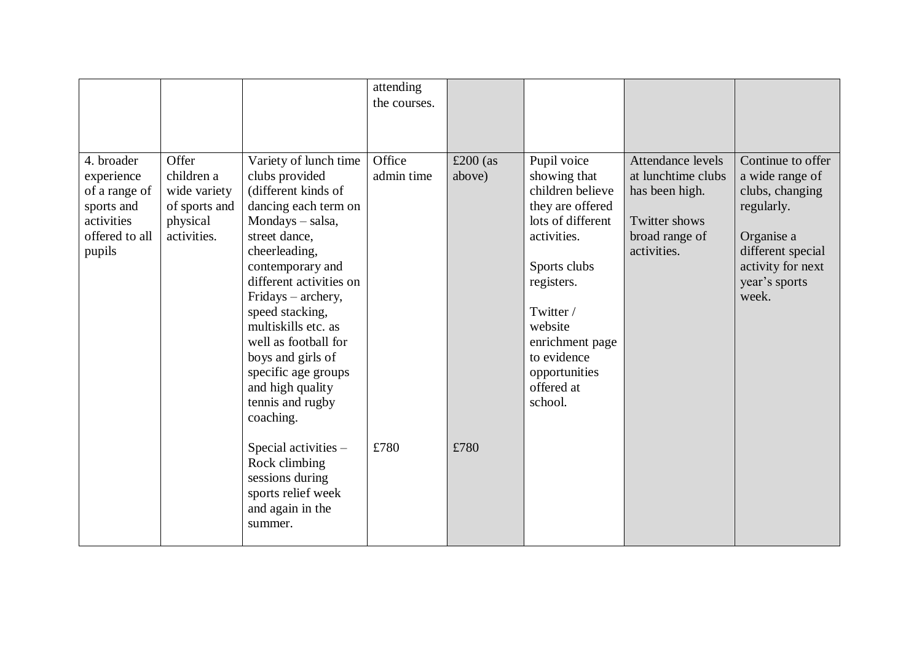|                                                                                                   |                                                                                 |                                                                                                                                                                                                                                                                                                                                                                                      | attending<br>the courses. |                      |                                                                                                                                                                                                                                           |                                                                                                                    |                                                                                                                                                         |
|---------------------------------------------------------------------------------------------------|---------------------------------------------------------------------------------|--------------------------------------------------------------------------------------------------------------------------------------------------------------------------------------------------------------------------------------------------------------------------------------------------------------------------------------------------------------------------------------|---------------------------|----------------------|-------------------------------------------------------------------------------------------------------------------------------------------------------------------------------------------------------------------------------------------|--------------------------------------------------------------------------------------------------------------------|---------------------------------------------------------------------------------------------------------------------------------------------------------|
| 4. broader<br>experience<br>of a range of<br>sports and<br>activities<br>offered to all<br>pupils | Offer<br>children a<br>wide variety<br>of sports and<br>physical<br>activities. | Variety of lunch time<br>clubs provided<br>(different kinds of<br>dancing each term on<br>Mondays - salsa,<br>street dance,<br>cheerleading,<br>contemporary and<br>different activities on<br>Fridays – archery,<br>speed stacking,<br>multiskills etc. as<br>well as football for<br>boys and girls of<br>specific age groups<br>and high quality<br>tennis and rugby<br>coaching. | Office<br>admin time      | £200 $(as$<br>above) | Pupil voice<br>showing that<br>children believe<br>they are offered<br>lots of different<br>activities.<br>Sports clubs<br>registers.<br>Twitter /<br>website<br>enrichment page<br>to evidence<br>opportunities<br>offered at<br>school. | Attendance levels<br>at lunchtime clubs<br>has been high.<br><b>Twitter shows</b><br>broad range of<br>activities. | Continue to offer<br>a wide range of<br>clubs, changing<br>regularly.<br>Organise a<br>different special<br>activity for next<br>year's sports<br>week. |
|                                                                                                   |                                                                                 | Special activities -<br>Rock climbing<br>sessions during<br>sports relief week<br>and again in the<br>summer.                                                                                                                                                                                                                                                                        | £780                      | £780                 |                                                                                                                                                                                                                                           |                                                                                                                    |                                                                                                                                                         |